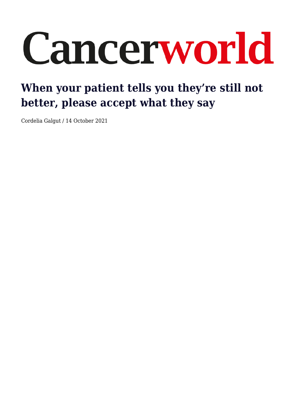# Cancerworld

## **When your patient tells you they're still not better, please accept what they say**

Cordelia Galgut / 14 October 2021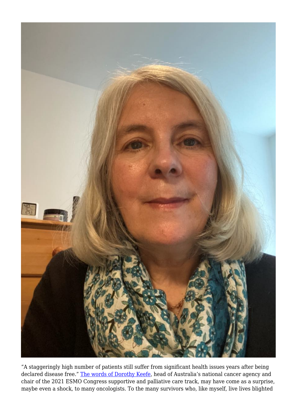

"A staggeringly high number of patients still suffer from significant health issues years after being declared disease free." [The words of Dorothy Keefe,](https://cancerworld.net/whats-new-in-supportive-care-presentations-from-esmo-2021/) head of Australia's national cancer agency and chair of the 2021 ESMO Congress supportive and palliative care track, may have come as a surprise, maybe even a shock, to many oncologists. To the many survivors who, like myself, live lives blighted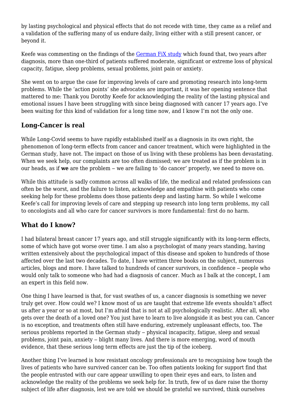by lasting psychological and physical effects that do not recede with time, they came as a relief and a validation of the suffering many of us endure daily, living either with a still present cancer, or beyond it.

Keefe was commenting on the findings of the [German FiX study](https://oncologypro.esmo.org/meeting-resources/esmo-congress-2021/late-effects-long-term-problems-and-unmet-needs-of-cancer-survivors) which found that, two years after diagnosis, more than one-third of patients suffered moderate, significant or extreme loss of physical capacity, fatigue, sleep problems, sexual problems, joint pain or anxiety.

She went on to argue the case for improving levels of care and promoting research into long-term problems. While the 'action points' she advocates are important, it was her opening sentence that mattered to me: Thank you Dorothy Keefe for acknowledging the reality of the lasting physical and emotional issues I have been struggling with since being diagnosed with cancer 17 years ago. I've been waiting for this kind of validation for a long time now, and I know I'm not the only one.

### **Long-Cancer is real**

While Long-Covid seems to have rapidly established itself as a diagnosis in its own right, the phenomenon of long-term effects from cancer and cancer treatment, which were highlighted in the German study, have not. The impact on those of us living with these problems has been devastating. When we seek help, our complaints are too often dismissed; we are treated as if the problem is in our heads, as if **we** are the problem – we are failing to 'do cancer' properly, we need to move on.

While this attitude is sadly common across all walks of life, the medical and related professions can often be the worst, and the failure to listen, acknowledge and empathise with patients who come seeking help for these problems does those patients deep and lasting harm. So while I welcome Keefe's call for improving levels of care and stepping up research into long term problems, my call to oncologists and all who care for cancer survivors is more fundamental: first do no harm.

#### **What do I know?**

I had bilateral breast cancer 17 years ago, and still struggle significantly with its long-term effects, some of which have got worse over time. I am also a psychologist of many years standing, having written extensively about the psychological impact of this disease and spoken to hundreds of those affected over the last two decades. To date, I have written three books on the subject, numerous articles, blogs and more. I have talked to hundreds of cancer survivors, in confidence – people who would only talk to someone who had had a diagnosis of cancer. Much as I balk at the concept, I am an expert in this field now.

One thing I have learned is that, for vast swathes of us, a cancer diagnosis is something we never truly get over. How could we? I know most of us are taught that extreme life events shouldn't affect us after a year or so at most, but I'm afraid that is not at all psychologically realistic. After all, who gets over the death of a loved one? You just have to learn to live alongside it as best you can. Cancer is no exception, and treatments often still have enduring, extremely unpleasant effects, too. The serious problems reported in the German study – physical incapacity, fatigue, sleep and sexual problems, joint pain, anxiety – blight many lives. And there is more emerging, word of mouth evidence, that these serious long term effects are just the tip of the iceberg.

Another thing I've learned is how resistant oncology professionals are to recognising how tough the lives of patients who have survived cancer can be. Too often patients looking for support find that the people entrusted with our care appear unwilling to open their eyes and ears, to listen and acknowledge the reality of the problems we seek help for. In truth, few of us dare raise the thorny subject of life after diagnosis, lest we are told we should be grateful we survived, think ourselves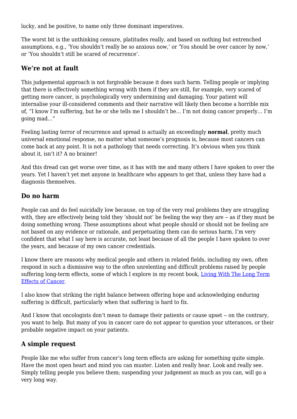lucky, and be positive, to name only three dominant imperatives.

The worst bit is the unthinking censure, platitudes really, and based on nothing but entrenched assumptions, e.g., 'You shouldn't really be so anxious now,' or 'You should be over cancer by now,' or 'You shouldn't still be scared of recurrence'.

#### **We're not at fault**

This judgemental approach is not forgivable because it does such harm. Telling people or implying that there is effectively something wrong with them if they are still, for example, very scared of getting more cancer, is psychologically very undermining and damaging. Your patient will internalise your ill-considered comments and their narrative will likely then become a horrible mix of, "I know I'm suffering, but he or she tells me I shouldn't be… I'm not doing cancer properly… I'm going mad…"

Feeling lasting terror of recurrence and spread is actually an exceedingly **normal**, pretty much universal emotional response, no matter what someone's prognosis is, because most cancers can come back at any point. It is not a pathology that needs correcting. It's obvious when you think about it, isn't it? A no brainer!

And this dread can get worse over time, as it has with me and many others I have spoken to over the years. Yet I haven't yet met anyone in healthcare who appears to get that, unless they have had a diagnosis themselves.

#### **Do no harm**

People can and do feel suicidally low because, on top of the very real problems they are struggling with, they are effectively being told they 'should not' be feeling the way they are  $-$  as if they must be doing something wrong. These assumptions about what people should or should not be feeling are not based on any evidence or rationale, and perpetuating them can do serious harm. I'm very confident that what I say here is accurate, not least because of all the people I have spoken to over the years, and because of my own cancer credentials.

I know there are reasons why medical people and others in related fields, including my own, often respond in such a dismissive way to the often unrelenting and difficult problems raised by people suffering long-term effects, some of which I explore in my recent book, [Living With The Long Term](https://uk.jkp.com/products/living-with-the-longterm-effects-of-cancer) [Effects of Cancer](https://uk.jkp.com/products/living-with-the-longterm-effects-of-cancer).

I also know that striking the right balance between offering hope and acknowledging enduring suffering is difficult, particularly when that suffering is hard to fix.

And I know that oncologists don't mean to damage their patients or cause upset – on the contrary, you want to help. But many of you in cancer care do not appear to question your utterances, or their probable negative impact on your patients.

#### **A simple request**

People like me who suffer from cancer's long term effects are asking for something quite simple. Have the most open heart and mind you can muster. Listen and really hear. Look and really see. Simply telling people you believe them; suspending your judgement as much as you can, will go a very long way.